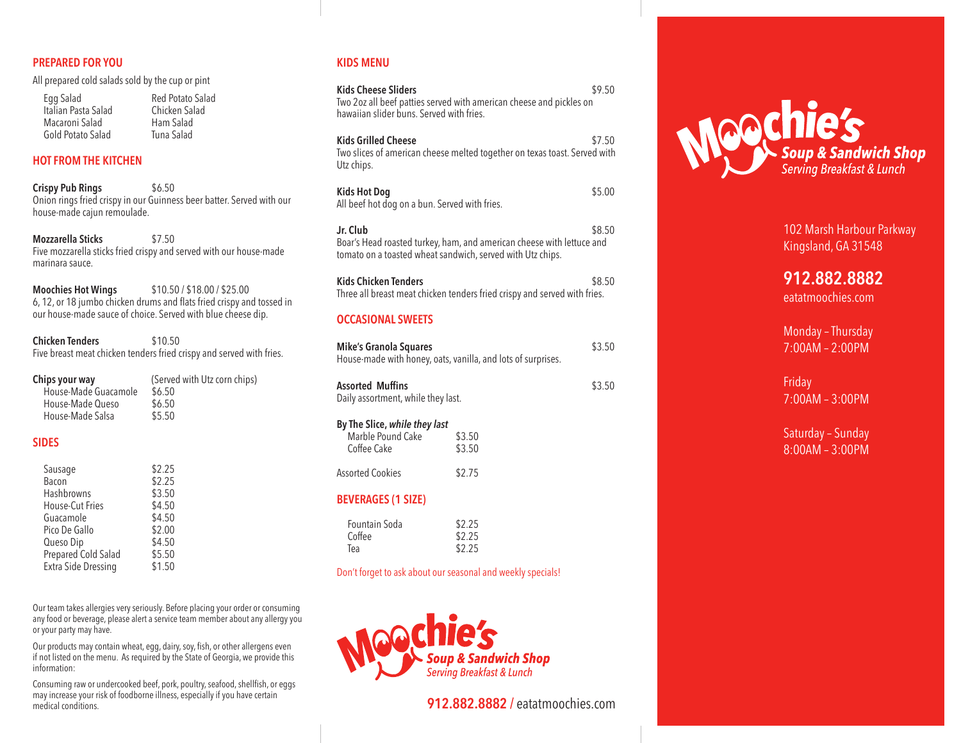#### **PREPARED FOR YOU**

All prepared cold salads sold by the cup or pint

| Egg Salad           |
|---------------------|
| Italian Pasta Salac |
| Macaroni Salad      |
| Gold Potato Salad   |

Egg Salad Red Potato Salad Chicken Salad Ham Salad Tuna Salad

#### **HOT FROM THE KITCHEN**

**Crispy Pub Rings** \$6.50 Onion rings fried crispy in our Guinness beer batter. Served with our house-made cajun remoulade.

**Mozzarella Sticks** \$7.50 Five mozzarella sticks fried crispy and served with our house-made marinara sauce.

**Moochies Hot Wings** \$10.50 / \$18.00 / \$25.00 6, 12, or 18 jumbo chicken drums and flats fried crispy and tossed in our house-made sauce of choice. Served with blue cheese dip.

**Chicken Tenders** \$10.50 Five breast meat chicken tenders fried crispy and served with fries.

| Chips your way       | (Served with Utz corn chips) |
|----------------------|------------------------------|
| House-Made Guacamole | \$6.50                       |
| House-Made Queso     | \$6.50                       |
| House-Made Salsa     | \$5.50                       |
|                      |                              |

#### **SIDES**

| Sausage                    | \$2.25 |
|----------------------------|--------|
| Bacon                      | \$2.25 |
| Hashbrowns                 | \$3.50 |
| House-Cut Fries            | \$4.50 |
| Guacamole                  | \$4.50 |
| Pico De Gallo              | \$2.00 |
| Queso Dip                  | \$4.50 |
| <b>Prepared Cold Salad</b> | \$5.50 |
| <b>Extra Side Dressing</b> | \$1.50 |

Our team takes allergies very seriously. Before placing your order or consuming any food or beverage, please alert a service team member about any allergy you or your party may have.

Our products may contain wheat, egg, dairy, soy, fish, or other allergens even if not listed on the menu. As required by the State of Georgia, we provide this information:

Consuming raw or undercooked beef, pork, poultry, seafood, shellfish, or eggs may increase your risk of foodborne illness, especially if you have certain medical conditions.

# **KIDS MENU**

| <b>Kids Cheese Sliders</b><br>\$9.50<br>Two 2oz all beef patties served with american cheese and pickles on |                                                                           |        |
|-------------------------------------------------------------------------------------------------------------|---------------------------------------------------------------------------|--------|
| hawaiian slider buns. Served with fries.                                                                    |                                                                           |        |
| <b>Kids Grilled Cheese</b><br>Utz chips.                                                                    | Two slices of american cheese melted together on texas toast. Served with | \$7.50 |
| <b>Kids Hot Dog</b><br>All beef hot dog on a bun. Served with fries.                                        |                                                                           | \$5.00 |
| Jr. Club<br>tomato on a toasted wheat sandwich, served with Utz chips.                                      | Boar's Head roasted turkey, ham, and american cheese with lettuce and     | \$8.50 |
| <b>Kids Chicken Tenders</b>                                                                                 | Three all breast meat chicken tenders fried crispy and served with fries. | \$8.50 |
| <b>OCCASIONAL SWEETS</b>                                                                                    |                                                                           |        |
| <b>Mike's Granola Squares</b><br>House-made with honey, oats, vanilla, and lots of surprises.               |                                                                           | \$3.50 |
| <b>Assorted Muffins</b><br>Daily assortment, while they last.                                               |                                                                           | \$3.50 |
| By The Slice, while they last<br>Marble Pound Cake<br>Coffee Cake                                           | \$3.50<br>\$3.50                                                          |        |
| <b>Assorted Cookies</b>                                                                                     | \$2.75                                                                    |        |
| <b>BEVERAGES (1 SIZE)</b>                                                                                   |                                                                           |        |
| Fountain Soda<br>Coffee<br>Tea                                                                              | \$2.25<br>\$2.25<br>\$2.25                                                |        |
| Don't forget to ask about our seasonal and weekly specials!                                                 |                                                                           |        |



**912.882.8882 /** eatatmoochies.com



102 Marsh Harbour Parkway Kingsland, GA 31548

**912.882.8882**

eatatmoochies.com

Monday – Thursday 7:00AM – 2:00PM

Friday 7:00AM – 3:00PM

Saturday – Sunday 8:00AM – 3:00PM